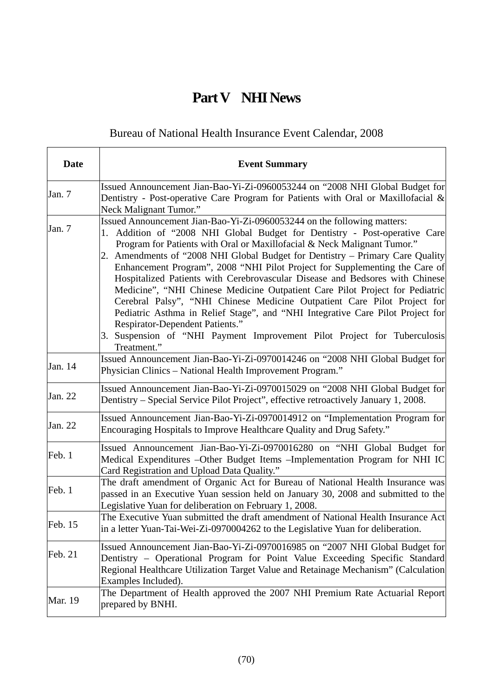## **Part V NHI News**

## Bureau of National Health Insurance Event Calendar, 2008

| <b>Date</b>    | <b>Event Summary</b>                                                                                                                                                                                                                                                                                                                                                                                                                                                                                                                                                                                                                                                                                                                                                                                                                                                |
|----------------|---------------------------------------------------------------------------------------------------------------------------------------------------------------------------------------------------------------------------------------------------------------------------------------------------------------------------------------------------------------------------------------------------------------------------------------------------------------------------------------------------------------------------------------------------------------------------------------------------------------------------------------------------------------------------------------------------------------------------------------------------------------------------------------------------------------------------------------------------------------------|
| Jan. 7         | Issued Announcement Jian-Bao-Yi-Zi-0960053244 on "2008 NHI Global Budget for<br>Dentistry - Post-operative Care Program for Patients with Oral or Maxillofacial $\&$<br>Neck Malignant Tumor."                                                                                                                                                                                                                                                                                                                                                                                                                                                                                                                                                                                                                                                                      |
| Jan. 7         | Issued Announcement Jian-Bao-Yi-Zi-0960053244 on the following matters:<br>Addition of "2008 NHI Global Budget for Dentistry - Post-operative Care<br>1.<br>Program for Patients with Oral or Maxillofacial & Neck Malignant Tumor."<br>Amendments of "2008 NHI Global Budget for Dentistry – Primary Care Quality<br>2.<br>Enhancement Program", 2008 "NHI Pilot Project for Supplementing the Care of<br>Hospitalized Patients with Cerebrovascular Disease and Bedsores with Chinese<br>Medicine", "NHI Chinese Medicine Outpatient Care Pilot Project for Pediatric<br>Cerebral Palsy", "NHI Chinese Medicine Outpatient Care Pilot Project for<br>Pediatric Asthma in Relief Stage", and "NHI Integrative Care Pilot Project for<br>Respirator-Dependent Patients."<br>3. Suspension of "NHI Payment Improvement Pilot Project for Tuberculosis<br>Treatment." |
| Jan. 14        | Issued Announcement Jian-Bao-Yi-Zi-0970014246 on "2008 NHI Global Budget for<br>Physician Clinics - National Health Improvement Program."                                                                                                                                                                                                                                                                                                                                                                                                                                                                                                                                                                                                                                                                                                                           |
| Jan. 22        | Issued Announcement Jian-Bao-Yi-Zi-0970015029 on "2008 NHI Global Budget for<br>Dentistry – Special Service Pilot Project", effective retroactively January 1, 2008.                                                                                                                                                                                                                                                                                                                                                                                                                                                                                                                                                                                                                                                                                                |
| Jan. 22        | Issued Announcement Jian-Bao-Yi-Zi-0970014912 on "Implementation Program for<br>Encouraging Hospitals to Improve Healthcare Quality and Drug Safety."                                                                                                                                                                                                                                                                                                                                                                                                                                                                                                                                                                                                                                                                                                               |
| Feb. 1         | Issued Announcement Jian-Bao-Yi-Zi-0970016280 on "NHI Global Budget for<br>Medical Expenditures - Other Budget Items - Implementation Program for NHI IC<br>Card Registration and Upload Data Quality."                                                                                                                                                                                                                                                                                                                                                                                                                                                                                                                                                                                                                                                             |
| Feb. 1         | The draft amendment of Organic Act for Bureau of National Health Insurance was<br>passed in an Executive Yuan session held on January 30, 2008 and submitted to the<br>Legislative Yuan for deliberation on February 1, 2008.                                                                                                                                                                                                                                                                                                                                                                                                                                                                                                                                                                                                                                       |
| Feb. 15        | The Executive Yuan submitted the draft amendment of National Health Insurance Act<br>in a letter Yuan-Tai-Wei-Zi-0970004262 to the Legislative Yuan for deliberation.                                                                                                                                                                                                                                                                                                                                                                                                                                                                                                                                                                                                                                                                                               |
| Feb. 21        | Issued Announcement Jian-Bao-Yi-Zi-0970016985 on "2007 NHI Global Budget for<br>Dentistry – Operational Program for Point Value Exceeding Specific Standard<br>Regional Healthcare Utilization Target Value and Retainage Mechanism" (Calculation<br>Examples Included).                                                                                                                                                                                                                                                                                                                                                                                                                                                                                                                                                                                            |
| <b>Mar.</b> 19 | The Department of Health approved the 2007 NHI Premium Rate Actuarial Report<br>prepared by BNHI.                                                                                                                                                                                                                                                                                                                                                                                                                                                                                                                                                                                                                                                                                                                                                                   |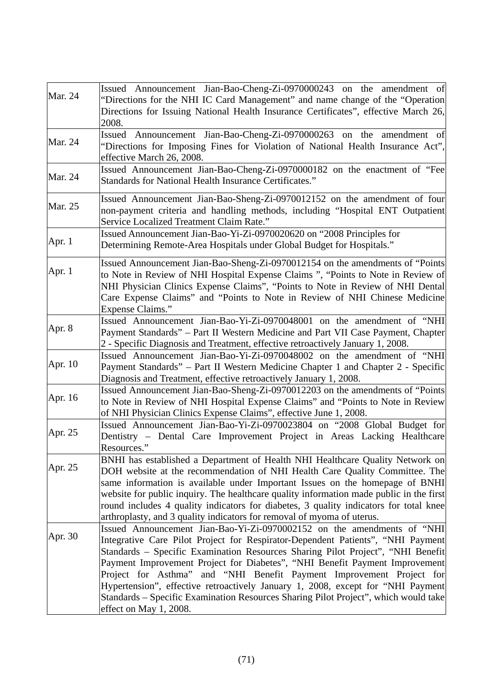| <b>Mar. 24</b> | Issued Announcement Jian-Bao-Cheng-Zi-0970000243 on the amendment of<br>"Directions for the NHI IC Card Management" and name change of the "Operation<br>Directions for Issuing National Health Insurance Certificates", effective March 26,<br>2008.                                                                                                                                                                                                                                                                                                                                                    |
|----------------|----------------------------------------------------------------------------------------------------------------------------------------------------------------------------------------------------------------------------------------------------------------------------------------------------------------------------------------------------------------------------------------------------------------------------------------------------------------------------------------------------------------------------------------------------------------------------------------------------------|
| <b>Mar. 24</b> | Issued Announcement Jian-Bao-Cheng-Zi-0970000263 on the amendment of<br>"Directions for Imposing Fines for Violation of National Health Insurance Act",<br>effective March 26, 2008.                                                                                                                                                                                                                                                                                                                                                                                                                     |
| <b>Mar. 24</b> | Issued Announcement Jian-Bao-Cheng-Zi-0970000182 on the enactment of "Fee<br>Standards for National Health Insurance Certificates."                                                                                                                                                                                                                                                                                                                                                                                                                                                                      |
| Mar. 25        | Issued Announcement Jian-Bao-Sheng-Zi-0970012152 on the amendment of four<br>non-payment criteria and handling methods, including "Hospital ENT Outpatient<br>Service Localized Treatment Claim Rate."                                                                                                                                                                                                                                                                                                                                                                                                   |
| Apr. 1         | Issued Announcement Jian-Bao-Yi-Zi-0970020620 on "2008 Principles for<br>Determining Remote-Area Hospitals under Global Budget for Hospitals."                                                                                                                                                                                                                                                                                                                                                                                                                                                           |
| Apr. $1$       | Issued Announcement Jian-Bao-Sheng-Zi-0970012154 on the amendments of "Points"<br>to Note in Review of NHI Hospital Expense Claims ", "Points to Note in Review of<br>NHI Physician Clinics Expense Claims", "Points to Note in Review of NHI Dental<br>Care Expense Claims" and "Points to Note in Review of NHI Chinese Medicine<br><b>Expense Claims."</b>                                                                                                                                                                                                                                            |
| Apr. 8         | Issued Announcement Jian-Bao-Yi-Zi-0970048001 on the amendment of "NHI<br>Payment Standards" - Part II Western Medicine and Part VII Case Payment, Chapter<br>2 - Specific Diagnosis and Treatment, effective retroactively January 1, 2008.                                                                                                                                                                                                                                                                                                                                                             |
| Apr. 10        | Issued Announcement Jian-Bao-Yi-Zi-0970048002 on the amendment of "NHI<br>Payment Standards" – Part II Western Medicine Chapter 1 and Chapter 2 - Specific<br>Diagnosis and Treatment, effective retroactively January 1, 2008.                                                                                                                                                                                                                                                                                                                                                                          |
| Apr. 16        | Issued Announcement Jian-Bao-Sheng-Zi-0970012203 on the amendments of "Points"<br>to Note in Review of NHI Hospital Expense Claims" and "Points to Note in Review<br>of NHI Physician Clinics Expense Claims", effective June 1, 2008.                                                                                                                                                                                                                                                                                                                                                                   |
| Apr. 25        | Issued Announcement Jian-Bao-Yi-Zi-0970023804 on "2008 Global Budget for<br>Dentistry - Dental Care Improvement Project in Areas Lacking Healthcare<br>Resources."                                                                                                                                                                                                                                                                                                                                                                                                                                       |
| Apr. 25        | BNHI has established a Department of Health NHI Healthcare Quality Network on<br>DOH website at the recommendation of NHI Health Care Quality Committee. The<br>same information is available under Important Issues on the homepage of BNHI<br>website for public inquiry. The healthcare quality information made public in the first<br>round includes 4 quality indicators for diabetes, 3 quality indicators for total knee<br>arthroplasty, and 3 quality indicators for removal of myoma of uterus.                                                                                               |
| Apr. 30        | Issued Announcement Jian-Bao-Yi-Zi-0970002152 on the amendments of "NHI<br>Integrative Care Pilot Project for Respirator-Dependent Patients", "NHI Payment<br>Standards - Specific Examination Resources Sharing Pilot Project", "NHI Benefit<br>Payment Improvement Project for Diabetes", "NHI Benefit Payment Improvement<br>Project for Asthma" and "NHI Benefit Payment Improvement Project for<br>Hypertension", effective retroactively January 1, 2008, except for "NHI Payment<br>Standards – Specific Examination Resources Sharing Pilot Project", which would take<br>effect on May 1, 2008. |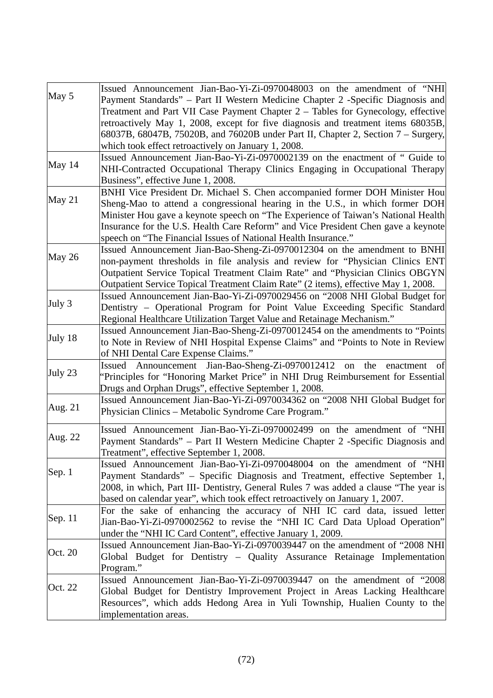| May 5   | Issued Announcement Jian-Bao-Yi-Zi-0970048003 on the amendment of "NHI               |
|---------|--------------------------------------------------------------------------------------|
|         | Payment Standards" – Part II Western Medicine Chapter 2 -Specific Diagnosis and      |
|         | Treatment and Part VII Case Payment Chapter 2 - Tables for Gynecology, effective     |
|         | retroactively May 1, 2008, except for five diagnosis and treatment items 68035B,     |
|         | 68037B, 68047B, 75020B, and 76020B under Part II, Chapter 2, Section 7 – Surgery,    |
|         | which took effect retroactively on January 1, 2008.                                  |
| May 14  | Issued Announcement Jian-Bao-Yi-Zi-0970002139 on the enactment of " Guide to         |
|         | NHI-Contracted Occupational Therapy Clinics Engaging in Occupational Therapy         |
|         | Business", effective June 1, 2008.                                                   |
|         | BNHI Vice President Dr. Michael S. Chen accompanied former DOH Minister Hou          |
| May 21  | Sheng-Mao to attend a congressional hearing in the U.S., in which former DOH         |
|         | Minister Hou gave a keynote speech on "The Experience of Taiwan's National Health    |
|         | Insurance for the U.S. Health Care Reform" and Vice President Chen gave a keynote    |
|         | speech on "The Financial Issues of National Health Insurance."                       |
| May 26  | Issued Announcement Jian-Bao-Sheng-Zi-0970012304 on the amendment to BNHI            |
|         | non-payment thresholds in file analysis and review for "Physician Clinics ENT        |
|         | Outpatient Service Topical Treatment Claim Rate" and "Physician Clinics OBGYN        |
|         | Outpatient Service Topical Treatment Claim Rate" (2 items), effective May 1, 2008.   |
|         | Issued Announcement Jian-Bao-Yi-Zi-0970029456 on "2008 NHI Global Budget for         |
| July 3  | Dentistry - Operational Program for Point Value Exceeding Specific Standard          |
|         | Regional Healthcare Utilization Target Value and Retainage Mechanism."               |
|         |                                                                                      |
| July 18 | Issued Announcement Jian-Bao-Sheng-Zi-0970012454 on the amendments to "Points"       |
|         | to Note in Review of NHI Hospital Expense Claims" and "Points to Note in Review      |
|         | of NHI Dental Care Expense Claims."                                                  |
| July 23 | Issued Announcement Jian-Bao-Sheng-Zi-0970012412 on the enactment of                 |
|         | "Principles for "Honoring Market Price" in NHI Drug Reimbursement for Essential      |
|         | Drugs and Orphan Drugs", effective September 1, 2008.                                |
| Aug. 21 | Issued Announcement Jian-Bao-Yi-Zi-0970034362 on "2008 NHI Global Budget for         |
|         | Physician Clinics – Metabolic Syndrome Care Program."                                |
| Aug. 22 | Issued Announcement Jian-Bao-Yi-Zi-0970002499 on the amendment of "NHI               |
|         | Payment Standards" – Part II Western Medicine Chapter 2 -Specific Diagnosis and      |
|         | Treatment", effective September 1, 2008.                                             |
| Sep. 1  | Issued Announcement Jian-Bao-Yi-Zi-0970048004 on the amendment of "NHI               |
|         | Payment Standards" – Specific Diagnosis and Treatment, effective September 1,        |
|         | 2008, in which, Part III- Dentistry, General Rules 7 was added a clause "The year is |
|         | based on calendar year", which took effect retroactively on January 1, 2007.         |
|         | For the sake of enhancing the accuracy of NHI IC card data, issued letter            |
| Sep. 11 | Jian-Bao-Yi-Zi-0970002562 to revise the "NHI IC Card Data Upload Operation"          |
|         | under the "NHI IC Card Content", effective January 1, 2009.                          |
|         | Issued Announcement Jian-Bao-Yi-Zi-0970039447 on the amendment of "2008 NHI          |
| Oct. 20 |                                                                                      |
|         | Global Budget for Dentistry - Quality Assurance Retainage Implementation             |
|         | Program."                                                                            |
| Oct. 22 | Issued Announcement Jian-Bao-Yi-Zi-0970039447 on the amendment of "2008              |
|         | Global Budget for Dentistry Improvement Project in Areas Lacking Healthcare          |
|         | Resources", which adds Hedong Area in Yuli Township, Hualien County to the           |
|         | implementation areas.                                                                |